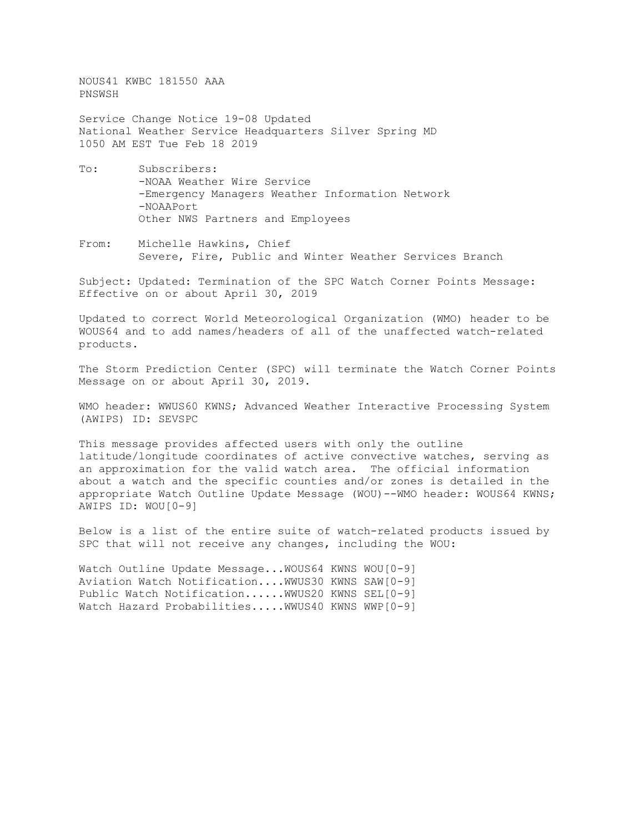NOUS41 KWBC 181550 AAA PNSWSH

Service Change Notice 19-08 Updated National Weather Service Headquarters Silver Spring MD 1050 AM EST Tue Feb 18 2019

- To: Subscribers: -NOAA Weather Wire Service -Emergency Managers Weather Information Network -NOAAPort Other NWS Partners and Employees
- From: Michelle Hawkins, Chief Severe, Fire, Public and Winter Weather Services Branch

Subject: Updated: Termination of the SPC Watch Corner Points Message: Effective on or about April 30, 2019

Updated to correct World Meteorological Organization (WMO) header to be WOUS64 and to add names/headers of all of the unaffected watch-related products.

The Storm Prediction Center (SPC) will terminate the Watch Corner Points Message on or about April 30, 2019.

WMO header: WWUS60 KWNS; Advanced Weather Interactive Processing System (AWIPS) ID: SEVSPC

This message provides affected users with only the outline latitude/longitude coordinates of active convective watches, serving as an approximation for the valid watch area. The official information about a watch and the specific counties and/or zones is detailed in the appropriate Watch Outline Update Message (WOU)--WMO header: WOUS64 KWNS; AWIPS ID: WOU[0-9]

Below is a list of the entire suite of watch-related products issued by SPC that will not receive any changes, including the WOU:

Watch Outline Update Message... WOUS64 KWNS WOU[0-9] Aviation Watch Notification....WWUS30 KWNS SAW[0-9] Public Watch Notification......WWUS20 KWNS SEL[0-9] Watch Hazard Probabilities..... WWUS40 KWNS WWP[0-9]